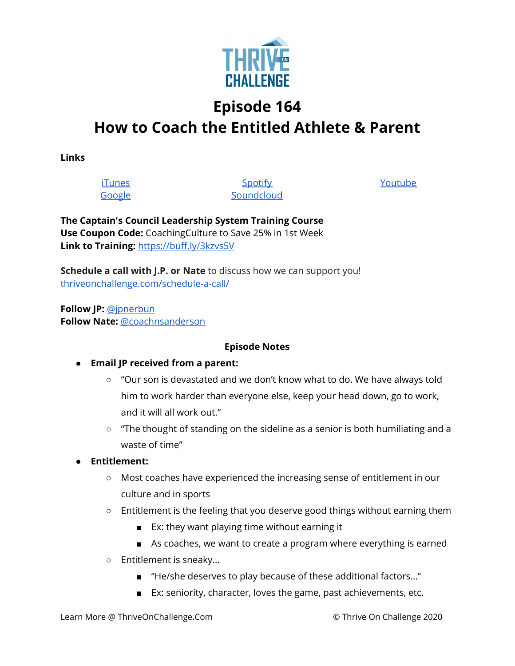

## **Episode 164 How to Coach the Entitled Athlete & Parent**

**Links**

**[iTunes](https://podcasts.apple.com/us/podcast/coaching-culture/id1286560192)** [Google](https://podcasts.google.com/feed/aHR0cHM6Ly9mZWVkcy5zb3VuZGNsb3VkLmNvbS91c2Vycy9zb3VuZGNsb3VkOnVzZXJzOjQxMDQyNzcvc291bmRzLnJzcw?ved=2ahUKEwiSpYquy9vqAhVbQUEAHSAkC88Q4aUDegQIARAC)

**[Spotify](https://open.spotify.com/show/336Hs8udk8s0yXuK3BzSOq) [Soundcloud](https://soundcloud.com/thriveonchallenge)**  [Youtube](https://www.youtube.com/channel/UC3vIljCBzwHcPyVIx9kiHvw)

**The Captain's Council Leadership System Training Course Use Coupon Code:** CoachingCulture to Save 25% in 1st Week **Link to Training:** <https://buff.ly/3kzvs5V>

**Schedule a call with J.P. or Nate** to discuss how we can support you! [thriveonchallenge.com/schedule-a-call/](http://thriveonchallenge.com/schedule-a-call/)

**Follow JP:** [@jpnerbun](http://twitter.com/jpnerbun) **Follow Nate:** [@coachnsanderson](http://twitter.com/coachnsanderson)

## **Episode Notes**

## **● Email JP received from a parent:**

- "Our son is devastated and we don't know what to do. We have always told him to work harder than everyone else, keep your head down, go to work, and it will all work out."
- $\circ$  "The thought of standing on the sideline as a senior is both humiliating and a waste of time"
- **● Entitlement:**
	- Most coaches have experienced the increasing sense of entitlement in our culture and in sports
	- Entitlement is the feeling that you deserve good things without earning them
		- Ex: they want playing time without earning it
		- As coaches, we want to create a program where everything is earned
	- Entitlement is sneaky…
		- "He/she deserves to play because of these additional factors..."
		- Ex: seniority, character, loves the game, past achievements, etc.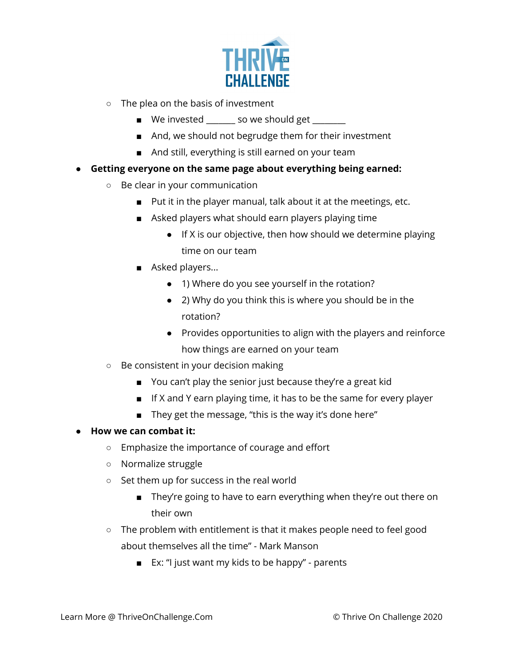

- The plea on the basis of investment
	- We invested \_\_\_\_\_\_\_ so we should get \_\_\_\_\_\_
	- And, we should not begrudge them for their investment
	- And still, everything is still earned on your team
- **Getting everyone on the same page about everything being earned:**
	- Be clear in your communication
		- Put it in the player manual, talk about it at the meetings, etc.
		- Asked players what should earn players playing time
			- If X is our objective, then how should we determine playing time on our team
		- Asked players...
			- 1) Where do you see yourself in the rotation?
			- 2) Why do you think this is where you should be in the rotation?
			- Provides opportunities to align with the players and reinforce how things are earned on your team
	- Be consistent in your decision making
		- You can't play the senior just because they're a great kid
		- If X and Y earn playing time, it has to be the same for every player
		- They get the message, "this is the way it's done here"

## **● How we can combat it:**

- Emphasize the importance of courage and effort
- Normalize struggle
- Set them up for success in the real world
	- They're going to have to earn everything when they're out there on their own
- The problem with entitlement is that it makes people need to feel good about themselves all the time" - Mark Manson
	- Ex: "I just want my kids to be happy" parents